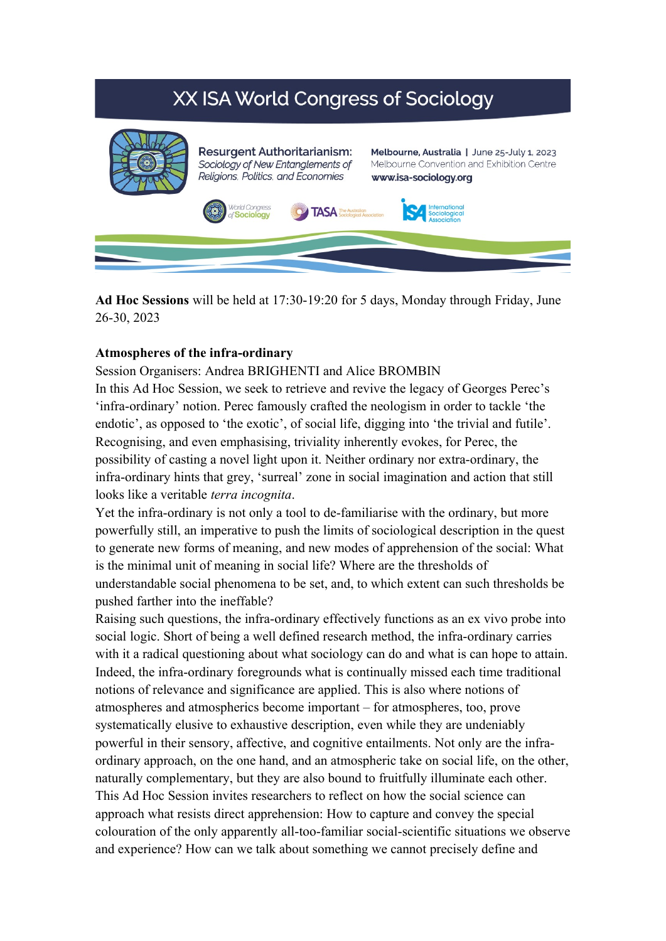# XX ISA World Congress of Sociology



**Ad Hoc Sessions** will be held at 17:30-19:20 for 5 days, Monday through Friday, June 26-30, 2023

# **Atmospheres of the infra-ordinary**

Session Organisers: Andrea BRIGHENTI and Alice BROMBIN

In this Ad Hoc Session, we seek to retrieve and revive the legacy of Georges Perec's 'infra-ordinary' notion. Perec famously crafted the neologism in order to tackle 'the endotic', as opposed to 'the exotic', of social life, digging into 'the trivial and futile'. Recognising, and even emphasising, triviality inherently evokes, for Perec, the possibility of casting a novel light upon it. Neither ordinary nor extra-ordinary, the infra-ordinary hints that grey, 'surreal' zone in social imagination and action that still looks like a veritable *terra incognita*.

Yet the infra-ordinary is not only a tool to de-familiarise with the ordinary, but more powerfully still, an imperative to push the limits of sociological description in the quest to generate new forms of meaning, and new modes of apprehension of the social: What is the minimal unit of meaning in social life? Where are the thresholds of understandable social phenomena to be set, and, to which extent can such thresholds be pushed farther into the ineffable?

Raising such questions, the infra-ordinary effectively functions as an ex vivo probe into social logic. Short of being a well defined research method, the infra-ordinary carries with it a radical questioning about what sociology can do and what is can hope to attain. Indeed, the infra-ordinary foregrounds what is continually missed each time traditional notions of relevance and significance are applied. This is also where notions of atmospheres and atmospherics become important – for atmospheres, too, prove systematically elusive to exhaustive description, even while they are undeniably powerful in their sensory, affective, and cognitive entailments. Not only are the infraordinary approach, on the one hand, and an atmospheric take on social life, on the other, naturally complementary, but they are also bound to fruitfully illuminate each other. This Ad Hoc Session invites researchers to reflect on how the social science can approach what resists direct apprehension: How to capture and convey the special colouration of the only apparently all-too-familiar social-scientific situations we observe and experience? How can we talk about something we cannot precisely define and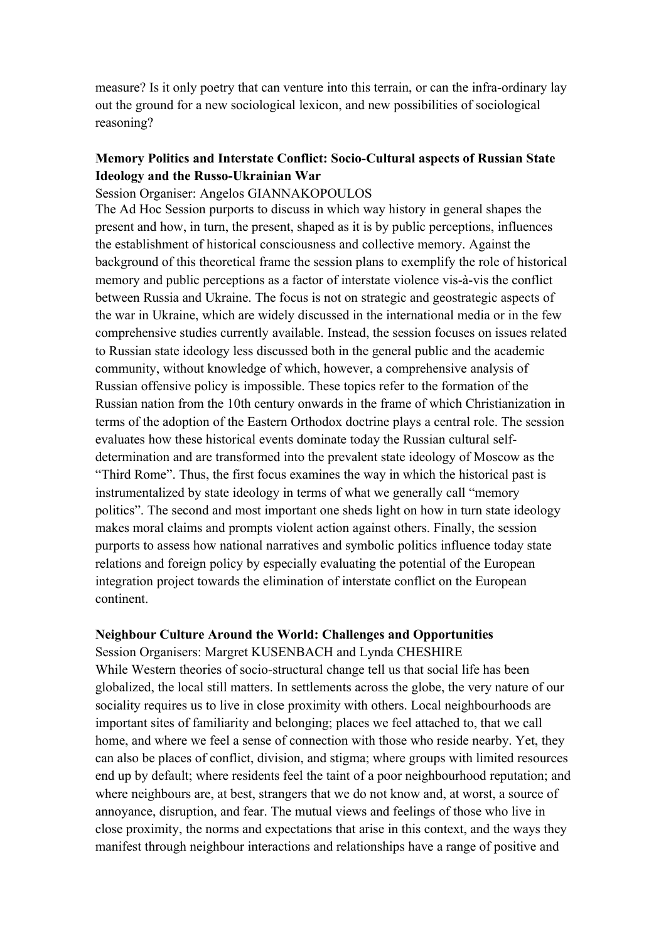measure? Is it only poetry that can venture into this terrain, or can the infra-ordinary lay out the ground for a new sociological lexicon, and new possibilities of sociological reasoning?

# **Memory Politics and Interstate Conflict: Socio-Cultural aspects of Russian State Ideology and the Russo-Ukrainian War**

#### Session Organiser: Angelos GIANNAKOPOULOS

The Ad Hoc Session purports to discuss in which way history in general shapes the present and how, in turn, the present, shaped as it is by public perceptions, influences the establishment of historical consciousness and collective memory. Against the background of this theoretical frame the session plans to exemplify the role of historical memory and public perceptions as a factor of interstate violence vis-à-vis the conflict between Russia and Ukraine. Τhe focus is not on strategic and geostrategic aspects of the war in Ukraine, which are widely discussed in the international media or in the few comprehensive studies currently available. Instead, the session focuses on issues related to Russian state ideology less discussed both in the general public and the academic community, without knowledge of which, however, a comprehensive analysis of Russian offensive policy is impossible. These topics refer to the formation of the Russian nation from the 10th century onwards in the frame of which Christianization in terms of the adoption of the Eastern Orthodox doctrine plays a central role. The session evaluates how these historical events dominate today the Russian cultural selfdetermination and are transformed into the prevalent state ideology of Moscow as the "Third Rome". Thus, the first focus examines the way in which the historical past is instrumentalized by state ideology in terms of what we generally call "memory politics". The second and most important one sheds light on how in turn state ideology makes moral claims and prompts violent action against others. Finally, the session purports to assess how national narratives and symbolic politics influence today state relations and foreign policy by especially evaluating the potential of the European integration project towards the elimination of interstate conflict on the European continent.

## **Neighbour Culture Around the World: Challenges and Opportunities**

Session Organisers: Margret KUSENBACH and Lynda CHESHIRE While Western theories of socio-structural change tell us that social life has been globalized, the local still matters. In settlements across the globe, the very nature of our sociality requires us to live in close proximity with others. Local neighbourhoods are important sites of familiarity and belonging; places we feel attached to, that we call home, and where we feel a sense of connection with those who reside nearby. Yet, they can also be places of conflict, division, and stigma; where groups with limited resources end up by default; where residents feel the taint of a poor neighbourhood reputation; and where neighbours are, at best, strangers that we do not know and, at worst, a source of annoyance, disruption, and fear. The mutual views and feelings of those who live in close proximity, the norms and expectations that arise in this context, and the ways they manifest through neighbour interactions and relationships have a range of positive and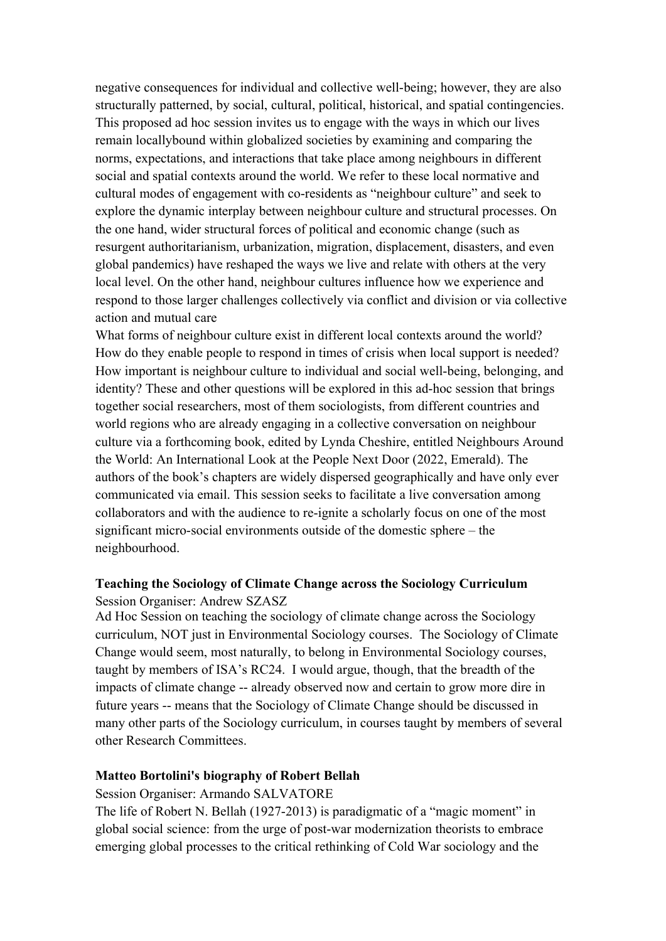negative consequences for individual and collective well-being; however, they are also structurally patterned, by social, cultural, political, historical, and spatial contingencies. This proposed ad hoc session invites us to engage with the ways in which our lives remain locallybound within globalized societies by examining and comparing the norms, expectations, and interactions that take place among neighbours in different social and spatial contexts around the world. We refer to these local normative and cultural modes of engagement with co-residents as "neighbour culture" and seek to explore the dynamic interplay between neighbour culture and structural processes. On the one hand, wider structural forces of political and economic change (such as resurgent authoritarianism, urbanization, migration, displacement, disasters, and even global pandemics) have reshaped the ways we live and relate with others at the very local level. On the other hand, neighbour cultures influence how we experience and respond to those larger challenges collectively via conflict and division or via collective action and mutual care

What forms of neighbour culture exist in different local contexts around the world? How do they enable people to respond in times of crisis when local support is needed? How important is neighbour culture to individual and social well-being, belonging, and identity? These and other questions will be explored in this ad-hoc session that brings together social researchers, most of them sociologists, from different countries and world regions who are already engaging in a collective conversation on neighbour culture via a forthcoming book, edited by Lynda Cheshire, entitled Neighbours Around the World: An International Look at the People Next Door (2022, Emerald). The authors of the book's chapters are widely dispersed geographically and have only ever communicated via email. This session seeks to facilitate a live conversation among collaborators and with the audience to re-ignite a scholarly focus on one of the most significant micro-social environments outside of the domestic sphere – the neighbourhood.

## **Teaching the Sociology of Climate Change across the Sociology Curriculum** Session Organiser: Andrew SZASZ

Ad Hoc Session on teaching the sociology of climate change across the Sociology curriculum, NOT just in Environmental Sociology courses. The Sociology of Climate Change would seem, most naturally, to belong in Environmental Sociology courses, taught by members of ISA's RC24. I would argue, though, that the breadth of the impacts of climate change -- already observed now and certain to grow more dire in future years -- means that the Sociology of Climate Change should be discussed in many other parts of the Sociology curriculum, in courses taught by members of several other Research Committees.

## **Matteo Bortolini's biography of Robert Bellah**

Session Organiser: Armando SALVATORE

The life of Robert N. Bellah (1927-2013) is paradigmatic of a "magic moment" in global social science: from the urge of post-war modernization theorists to embrace emerging global processes to the critical rethinking of Cold War sociology and the